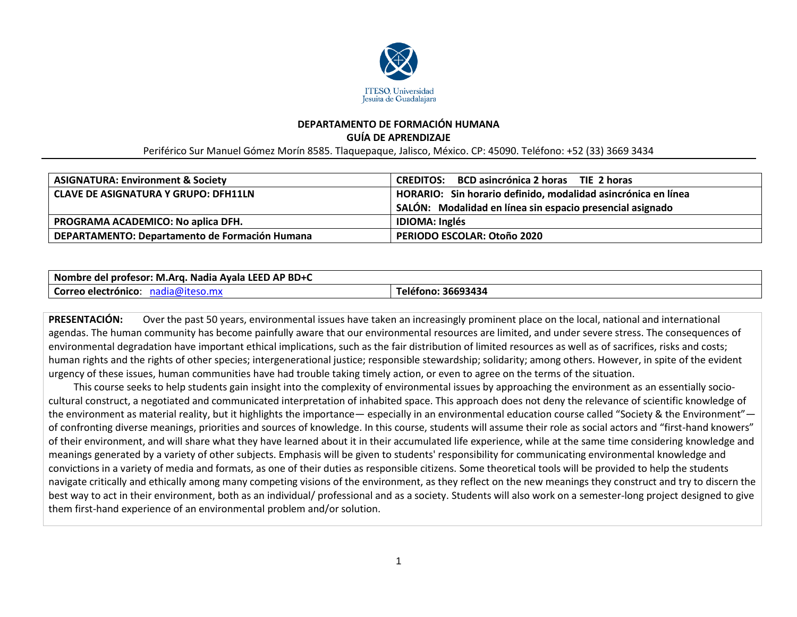

### **DEPARTAMENTO DE FORMACIÓN HUMANA GUÍA DE APRENDIZAJE**

Periférico Sur Manuel Gómez Morín 8585. Tlaquepaque, Jalisco, México. CP: 45090. Teléfono: +52 (33) 3669 3434

| <b>ASIGNATURA: Environment &amp; Society</b>   | <b>CREDITOS:</b> BCD asincrónica 2 horas TIE 2 horas                                                                       |
|------------------------------------------------|----------------------------------------------------------------------------------------------------------------------------|
| <b>CLAVE DE ASIGNATURA Y GRUPO: DFH11LN</b>    | HORARIO: Sin horario definido, modalidad asincrónica en línea<br>SALÓN: Modalidad en línea sin espacio presencial asignado |
| PROGRAMA ACADEMICO: No aplica DFH.             | <b>IDIOMA: Inglés</b>                                                                                                      |
| DEPARTAMENTO: Departamento de Formación Humana | <b>PERIODO ESCOLAR: Otoño 2020</b>                                                                                         |

| ) AP BD+C<br><b>LEED</b><br><b>Nombre</b><br>I profesor: M.Arg. Nadia Avala I<br>: del |                        |
|----------------------------------------------------------------------------------------|------------------------|
| Correo<br>ארי<br>າ electronico<br>idl<br>.                                             | 36693434<br>l elefono: |

**PRESENTACIÓN:** Over the past 50 years, environmental issues have taken an increasingly prominent place on the local, national and international agendas. The human community has become painfully aware that our environmental resources are limited, and under severe stress. The consequences of environmental degradation have important ethical implications, such as the fair distribution of limited resources as well as of sacrifices, risks and costs; human rights and the rights of other species; intergenerational justice; responsible stewardship; solidarity; among others. However, in spite of the evident urgency of these issues, human communities have had trouble taking timely action, or even to agree on the terms of the situation.

 This course seeks to help students gain insight into the complexity of environmental issues by approaching the environment as an essentially sociocultural construct, a negotiated and communicated interpretation of inhabited space. This approach does not deny the relevance of scientific knowledge of the environment as material reality, but it highlights the importance— especially in an environmental education course called "Society & the Environment" of confronting diverse meanings, priorities and sources of knowledge. In this course, students will assume their role as social actors and "first-hand knowers" of their environment, and will share what they have learned about it in their accumulated life experience, while at the same time considering knowledge and meanings generated by a variety of other subjects. Emphasis will be given to students' responsibility for communicating environmental knowledge and convictions in a variety of media and formats, as one of their duties as responsible citizens. Some theoretical tools will be provided to help the students navigate critically and ethically among many competing visions of the environment, as they reflect on the new meanings they construct and try to discern the best way to act in their environment, both as an individual/ professional and as a society. Students will also work on a semester-long project designed to give them first-hand experience of an environmental problem and/or solution.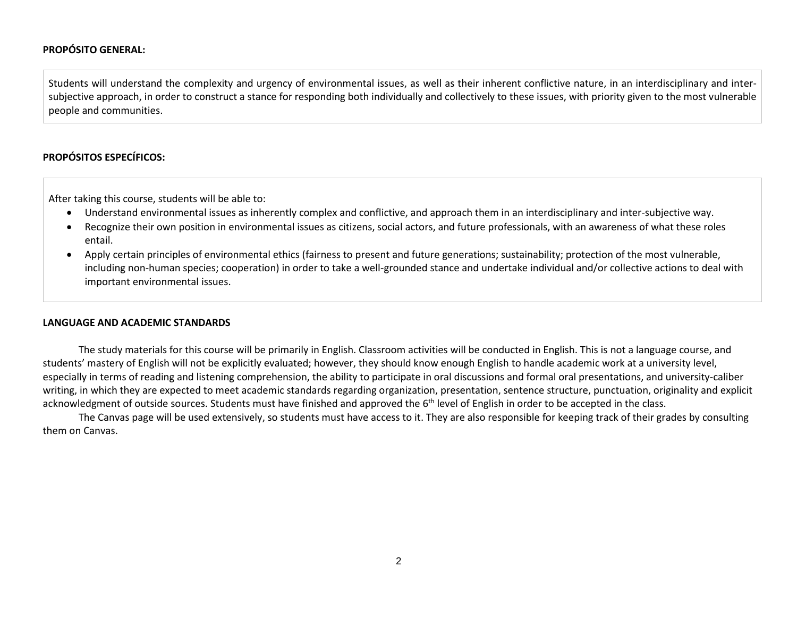### **PROPÓSITO GENERAL:**

Students will understand the complexity and urgency of environmental issues, as well as their inherent conflictive nature, in an interdisciplinary and intersubjective approach, in order to construct a stance for responding both individually and collectively to these issues, with priority given to the most vulnerable people and communities.

## **PROPÓSITOS ESPECÍFICOS:**

After taking this course, students will be able to:

- Understand environmental issues as inherently complex and conflictive, and approach them in an interdisciplinary and inter-subjective way.
- Recognize their own position in environmental issues as citizens, social actors, and future professionals, with an awareness of what these roles entail.
- Apply certain principles of environmental ethics (fairness to present and future generations; sustainability; protection of the most vulnerable, including non-human species; cooperation) in order to take a well-grounded stance and undertake individual and/or collective actions to deal with important environmental issues.

#### **LANGUAGE AND ACADEMIC STANDARDS**

The study materials for this course will be primarily in English. Classroom activities will be conducted in English. This is not a language course, and students' mastery of English will not be explicitly evaluated; however, they should know enough English to handle academic work at a university level, especially in terms of reading and listening comprehension, the ability to participate in oral discussions and formal oral presentations, and university-caliber writing, in which they are expected to meet academic standards regarding organization, presentation, sentence structure, punctuation, originality and explicit acknowledgment of outside sources. Students must have finished and approved the 6<sup>th</sup> level of English in order to be accepted in the class.

The Canvas page will be used extensively, so students must have access to it. They are also responsible for keeping track of their grades by consulting them on Canvas.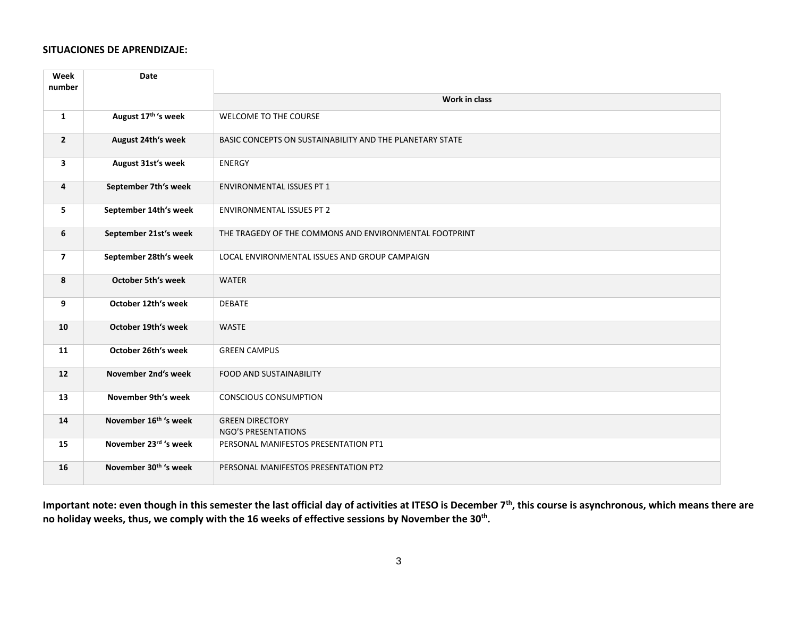### **SITUACIONES DE APRENDIZAJE:**

| Week<br>number | Date                              |                                                          |
|----------------|-----------------------------------|----------------------------------------------------------|
|                |                                   | Work in class                                            |
| $\mathbf{1}$   | August 17th 's week               | WELCOME TO THE COURSE                                    |
| $\overline{2}$ | August 24th's week                | BASIC CONCEPTS ON SUSTAINABILITY AND THE PLANETARY STATE |
| 3              | August 31st's week                | <b>ENERGY</b>                                            |
| 4              | September 7th's week              | <b>ENVIRONMENTAL ISSUES PT 1</b>                         |
| 5              | September 14th's week             | <b>ENVIRONMENTAL ISSUES PT 2</b>                         |
| 6              | September 21st's week             | THE TRAGEDY OF THE COMMONS AND ENVIRONMENTAL FOOTPRINT   |
| $\overline{7}$ | September 28th's week             | LOCAL ENVIRONMENTAL ISSUES AND GROUP CAMPAIGN            |
| 8              | <b>October 5th's week</b>         | <b>WATER</b>                                             |
| 9              | October 12th's week               | <b>DEBATE</b>                                            |
| 10             | October 19th's week               | <b>WASTE</b>                                             |
| 11             | October 26th's week               | <b>GREEN CAMPUS</b>                                      |
| 12             | November 2nd's week               | <b>FOOD AND SUSTAINABILITY</b>                           |
| 13             | November 9th's week               | <b>CONSCIOUS CONSUMPTION</b>                             |
| 14             | November 16 <sup>th</sup> 's week | <b>GREEN DIRECTORY</b><br><b>NGO'S PRESENTATIONS</b>     |
| 15             | November 23rd 's week             | PERSONAL MANIFESTOS PRESENTATION PT1                     |
| 16             | November 30 <sup>th</sup> 's week | PERSONAL MANIFESTOS PRESENTATION PT2                     |

**Important note: even though in this semester the last official day of activities at ITESO is December 7th, this course is asynchronous, which means there are no holiday weeks, thus, we comply with the 16 weeks of effective sessions by November the 30th .**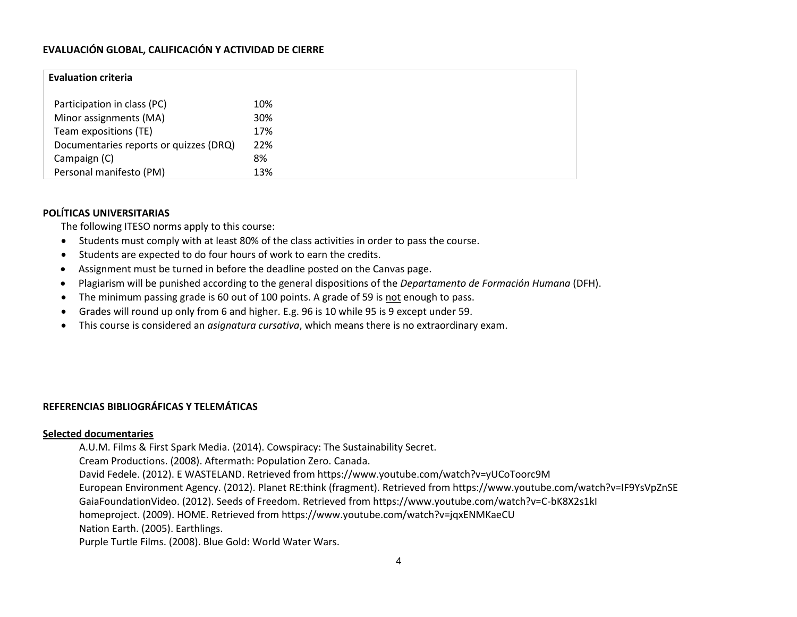# **EVALUACIÓN GLOBAL, CALIFICACIÓN Y ACTIVIDAD DE CIERRE**

| <b>Evaluation criteria</b>             |     |  |
|----------------------------------------|-----|--|
| Participation in class (PC)            | 10% |  |
| Minor assignments (MA)                 | 30% |  |
| Team expositions (TE)                  | 17% |  |
| Documentaries reports or quizzes (DRQ) | 22% |  |
| Campaign (C)                           | 8%  |  |
| Personal manifesto (PM)                | 13% |  |

# **POLÍTICAS UNIVERSITARIAS**

The following ITESO norms apply to this course:

- Students must comply with at least 80% of the class activities in order to pass the course.
- Students are expected to do four hours of work to earn the credits.
- Assignment must be turned in before the deadline posted on the Canvas page.
- Plagiarism will be punished according to the general dispositions of the *Departamento de Formación Humana* (DFH).
- The minimum passing grade is 60 out of 100 points. A grade of 59 is not enough to pass.
- Grades will round up only from 6 and higher. E.g. 96 is 10 while 95 is 9 except under 59.
- This course is considered an *asignatura cursativa*, which means there is no extraordinary exam.

# **REFERENCIAS BIBLIOGRÁFICAS Y TELEMÁTICAS**

### **Selected documentaries**

A.U.M. Films & First Spark Media. (2014). Cowspiracy: The Sustainability Secret.

Cream Productions. (2008). Aftermath: Population Zero. Canada.

David Fedele. (2012). E WASTELAND. Retrieved from https://www.youtube.com/watch?v=yUCoToorc9M

European Environment Agency. (2012). Planet RE:think (fragment). Retrieved from https://www.youtube.com/watch?v=IF9YsVpZnSE

GaiaFoundationVideo. (2012). Seeds of Freedom. Retrieved from https://www.youtube.com/watch?v=C-bK8X2s1kI

homeproject. (2009). HOME. Retrieved from https://www.youtube.com/watch?v=jqxENMKaeCU

Nation Earth. (2005). Earthlings.

Purple Turtle Films. (2008). Blue Gold: World Water Wars.